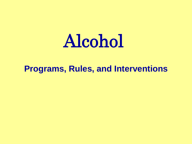# Alcohol

#### **Programs, Rules, and Interventions**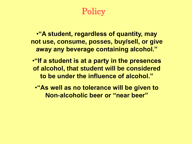**Policy** 

•**"A student, regardless of quantity, may not use, consume, posses, buy/sell, or give away any beverage containing alcohol."**

•**"If a student is at a party in the presences of alcohol, that student will be considered to be under the influence of alcohol."** 

•**"As well as no tolerance will be given to Non-alcoholic beer or "near beer"**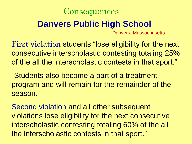

### **Danvers Public High School**

Danvers, Massachusetts

First violation students "lose eligibility for the next consecutive interscholastic contesting totaling 25% of the all the interscholastic contests in that sport."

-Students also become a part of a treatment program and will remain for the remainder of the season.

Second violation and all other subsequent violations lose eligibility for the next consecutive interscholastic contesting totaling 60% of the all the interscholastic contests in that sport."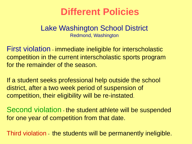## **Different Policies**

#### Lake Washington School District Redmond, Washington

First violation - immediate ineligible for interscholastic competition in the current interscholastic sports program for the remainder of the season.

If a student seeks professional help outside the school district, after a two week period of suspension of competition, their eligibility will be re-instated.

Second violation - the student athlete will be suspended for one year of competition from that date.

Third violation - the students will be permanently ineligible.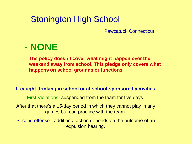### Stonington High School

Pawcatuck Connecticut



**The policy doesn't cover what might happen over the weekend away from school. This pledge only covers what happens on school grounds or functions.**

#### **If caught drinking in school or at school-sponsored activities**

First Violations- suspended from the team for five days.

After that there's a 15-day period in which they cannot play in any games but can practice with the team.

Second offense - additional action depends on the outcome of an expulsion hearing.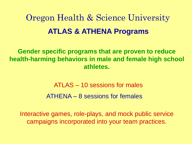# Oregon Health & Science University **ATLAS & ATHENA Programs**

**Gender specific programs that are proven to reduce health-harming behaviors in male and female high school athletes.** 

> ATLAS – 10 sessions for males ATHENA – 8 sessions for females

Interactive games, role-plays, and mock public service campaigns incorporated into your team practices.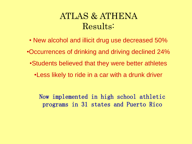### ATLAS & ATHENA Results:

• New alcohol and illicit drug use decreased 50% •Occurrences of drinking and driving declined 24% •Students believed that they were better athletes •Less likely to ride in a car with a drunk driver

Now implemented in high school athletic programs in 31 states and Puerto Rico